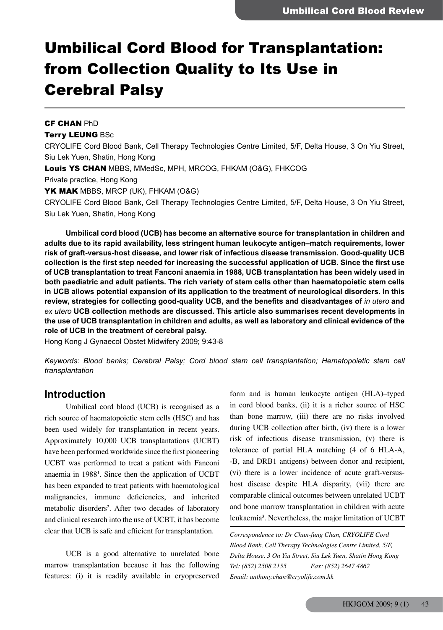# Umbilical Cord Blood for Transplantation: from Collection Quality to Its Use in Cerebral Palsy

CF CHAN PhD Terry LEUNG BSc CRYOLIFE Cord Blood Bank, Cell Therapy Technologies Centre Limited, 5/F, Delta House, 3 On Yiu Street, Siu Lek Yuen, Shatin, Hong Kong Louis YS CHAN MBBS, MMedSc, MPH, MRCOG, FHKAM (O&G), FHKCOG Private practice, Hong Kong YK MAK MBBS, MRCP (UK), FHKAM (O&G) CRYOLIFE Cord Blood Bank, Cell Therapy Technologies Centre Limited, 5/F, Delta House, 3 On Yiu Street, Siu Lek Yuen, Shatin, Hong Kong

 **Umbilical cord blood (UCB) has become an alternative source for transplantation in children and adults due to its rapid availability, less stringent human leukocyte antigen–match requirements, lower risk of graft-versus-host disease, and lower risk of infectious disease transmission. Good-quality UCB collection is the first step needed for increasing the successful application of UCB. Since the first use of UCB transplantation to treat Fanconi anaemia in 1988, UCB transplantation has been widely used in both paediatric and adult patients. The rich variety of stem cells other than haematopoietic stem cells in UCB allows potential expansion of its application to the treatment of neurological disorders. In this review, strategies for collecting good-quality UCB, and the benefits and disadvantages of** *in utero* **and** *ex utero* **UCB collection methods are discussed. This article also summarises recent developments in** the use of UCB transplantation in children and adults, as well as laboratory and clinical evidence of the **role of UCB in the treatment of cerebral palsy.**

Hong Kong J Gynaecol Obstet Midwifery 2009; 9:43-8

*Keywords: Blood banks; Cerebral Palsy; Cord blood stem cell transplantation; Hematopoietic stem cell transplantation*

#### **Introduction**

Umbilical cord blood (UCB) is recognised as a rich source of haematopoietic stem cells (HSC) and has been used widely for transplantation in recent years. Approximately 10,000 UCB transplantations (UCBT) have been performed worldwide since the first pioneering UCBT was performed to treat a patient with Fanconi anaemia in 1988<sup>1</sup>. Since then the application of UCBT has been expanded to treat patients with haematological malignancies, immune deficiencies, and inherited metabolic disorders<sup>2</sup>. After two decades of laboratory and clinical research into the use of UCBT, it has become clear that UCB is safe and efficient for transplantation.

UCB is a good alternative to unrelated bone marrow transplantation because it has the following features: (i) it is readily available in cryopreserved

form and is human leukocyte antigen (HLA)–typed in cord blood banks, (ii) it is a richer source of HSC than bone marrow, (iii) there are no risks involved during UCB collection after birth, (iv) there is a lower risk of infectious disease transmission, (v) there is tolerance of partial HLA matching (4 of 6 HLA-A, -B, and DRB1 antigens) between donor and recipient, (vi) there is a lower incidence of acute graft-versushost disease despite HLA disparity, (vii) there are comparable clinical outcomes between unrelated UCBT and bone marrow transplantation in children with acute leukaemia<sup>3</sup>. Nevertheless, the major limitation of UCBT

*Correspondence to: Dr Chun-fung Chan, CRYOLIFE Cord Blood Bank, Cell Therapy Technologies Centre Limited, 5/F, Delta House, 3 On Yiu Street, Siu Lek Yuen, Shatin Hong Kong Tel: (852) 2508 2155 Fax: (852) 2647 4862 Email: anthony.chan@cryolife.com.hk*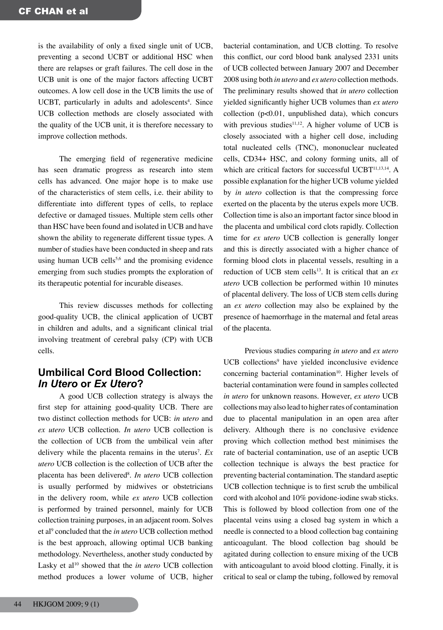is the availability of only a fixed single unit of UCB, preventing a second UCBT or additional HSC when there are relapses or graft failures. The cell dose in the UCB unit is one of the major factors affecting UCBT outcomes. A low cell dose in the UCB limits the use of UCBT, particularly in adults and adolescents<sup>4</sup>. Since UCB collection methods are closely associated with the quality of the UCB unit, it is therefore necessary to improve collection methods.

The emerging field of regenerative medicine has seen dramatic progress as research into stem cells has advanced. One major hope is to make use of the characteristics of stem cells, i.e. their ability to differentiate into different types of cells, to replace defective or damaged tissues. Multiple stem cells other than HSC have been found and isolated in UCB and have shown the ability to regenerate different tissue types. A number of studies have been conducted in sheep and rats using human UCB cells<sup>5,6</sup> and the promising evidence emerging from such studies prompts the exploration of its therapeutic potential for incurable diseases.

This review discusses methods for collecting good-quality UCB, the clinical application of UCBT in children and adults, and a significant clinical trial involving treatment of cerebral palsy (CP) with UCB cells.

#### **Umbilical Cord Blood Collection:** *In Utero* **or** *Ex Utero***?**

A good UCB collection strategy is always the first step for attaining good-quality UCB. There are two distinct collection methods for UCB: *in utero* and *ex utero* UCB collection. *In utero* UCB collection is the collection of UCB from the umbilical vein after delivery while the placenta remains in the uterus7 . *Ex utero* UCB collection is the collection of UCB after the placenta has been delivered<sup>8</sup>. In utero UCB collection is usually performed by midwives or obstetricians in the delivery room, while *ex utero* UCB collection is performed by trained personnel, mainly for UCB collection training purposes, in an adjacent room. Solves et al<sup>9</sup> concluded that the *in utero* UCB collection method is the best approach, allowing optimal UCB banking methodology. Nevertheless, another study conducted by Lasky et al<sup>10</sup> showed that the *in utero* UCB collection method produces a lower volume of UCB, higher

collection (p<0.01, unpublished data), which concurs with previous studies $11,12$ . A higher volume of UCB is closely associated with a higher cell dose, including total nucleated cells (TNC), mononuclear nucleated cells, CD34+ HSC, and colony forming units, all of which are critical factors for successful UCBT<sup>11,13,14</sup>. A possible explanation for the higher UCB volume yielded by *in utero* collection is that the compressing force exerted on the placenta by the uterus expels more UCB. Collection time is also an important factor since blood in the placenta and umbilical cord clots rapidly. Collection time for *ex utero* UCB collection is generally longer and this is directly associated with a higher chance of forming blood clots in placental vessels, resulting in a reduction of UCB stem cells<sup>13</sup>. It is critical that an *ex utero* UCB collection be performed within 10 minutes of placental delivery. The loss of UCB stem cells during an *ex utero* collection may also be explained by the presence of haemorrhage in the maternal and fetal areas of the placenta. Previous studies comparing *in utero* and *ex utero* UCB collections<sup>9</sup> have yielded inconclusive evidence

bacterial contamination, and UCB clotting. To resolve this conflict, our cord blood bank analysed 2331 units of UCB collected between January 2007 and December 2008 using both *in utero* and *ex utero* collection methods. The preliminary results showed that *in utero* collection yielded significantly higher UCB volumes than *ex utero*

concerning bacterial contamination<sup>10</sup>. Higher levels of bacterial contamination were found in samples collected *in utero* for unknown reasons. However, *ex utero* UCB collections may also lead to higher rates of contamination due to placental manipulation in an open area after delivery. Although there is no conclusive evidence proving which collection method best minimises the rate of bacterial contamination, use of an aseptic UCB collection technique is always the best practice for preventing bacterial contamination. The standard aseptic UCB collection technique is to first scrub the umbilical cord with alcohol and 10% povidone-iodine swab sticks. This is followed by blood collection from one of the placental veins using a closed bag system in which a needle is connected to a blood collection bag containing anticoagulant. The blood collection bag should be agitated during collection to ensure mixing of the UCB with anticoagulant to avoid blood clotting. Finally, it is critical to seal or clamp the tubing, followed by removal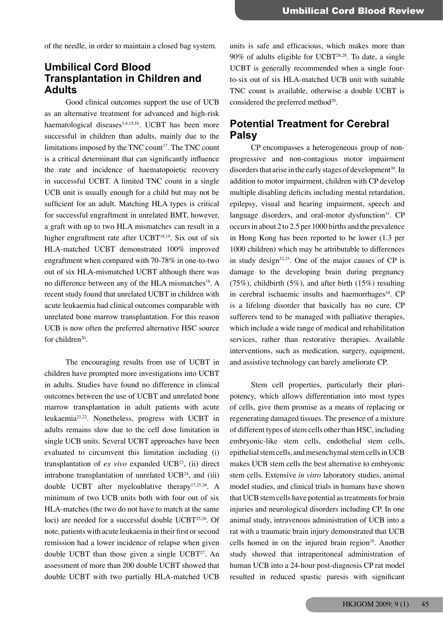of the needle, in order to maintain a closed bag system.

## **Umbilical Cord Blood Transplantation in Children and Adults**

Good clinical outcomes support the use of UCB as an alternative treatment for advanced and high-risk haematological diseases<sup>1,4,15,16</sup>. UCBT has been more successful in children than adults, mainly due to the limitations imposed by the TNC count<sup>17</sup>. The TNC count is a critical determinant that can significantly influence the rate and incidence of haematopoietic recovery in successful UCBT. A limited TNC count in a single UCB unit is usually enough for a child but may not be sufficient for an adult. Matching HLA types is critical for successful engraftment in unrelated BMT, however, a graft with up to two HLA mismatches can result in a higher engraftment rate after UCBT<sup>18,19</sup>. Six out of six HLA-matched UCBT demonstrated 100% improved engraftment when compared with 70-78% in one-to-two out of six HLA-mismatched UCBT although there was no difference between any of the HLA mismatches<sup>18</sup>. A recent study found that unrelated UCBT in children with acute leukaemia had clinical outcomes comparable with unrelated bone marrow transplantation. For this reason UCB is now often the preferred alternative HSC source for children<sup>20</sup>.

The encouraging results from use of UCBT in children have prompted more investigations into UCBT in adults. Studies have found no difference in clinical outcomes between the use of UCBT and unrelated bone marrow transplantation in adult patients with acute leukaemia21,22. Nonetheless, progress with UCBT in adults remains slow due to the cell dose limitation in single UCB units. Several UCBT approaches have been evaluated to circumvent this limitation including (i) transplantation of  $ex$  *vivo* expanded UCB<sup>23</sup>, (ii) direct intrabone transplantation of unrelated  $UCB<sup>24</sup>$ , and (iii) double UCBT after myeloablative therapy17,25,26. A minimum of two UCB units both with four out of six HLA-matches (the two do not have to match at the same loci) are needed for a successful double UCBT25,26. Of note, patients with acute leukaemia in their first or second remission had a lower incidence of relapse when given double UCBT than those given a single UCBT<sup>27</sup>. An assessment of more than 200 double UCBT showed that double UCBT with two partially HLA-matched UCB

units is safe and efficacious, which makes more than  $90\%$  of adults eligible for UCBT<sup>26,28</sup>. To date, a single UCBT is generally recommended when a single fourto-six out of six HLA-matched UCB unit with suitable TNC count is available, otherwise a double UCBT is considered the preferred method<sup>29</sup>.

### **Potential Treatment for Cerebral Palsy**

CP encompasses a heterogeneous group of nonprogressive and non-contagious motor impairment disorders that arise in the early stages of development<sup>30</sup>. In addition to motor impairment, children with CP develop multiple disabling deficits including mental retardation, epilepsy, visual and hearing impairment, speech and language disorders, and oral-motor dysfunction $31$ . CP occurs in about 2 to 2.5 per 1000 births and the prevalence in Hong Kong has been reported to be lower (1.3 per 1000 children) which may be attributable to differences in study design $32,33$ . One of the major causes of CP is damage to the developing brain during pregnancy (75%), childbirth (5%), and after birth (15%) resulting in cerebral ischaemic insults and haemorrhages<sup>34</sup>. CP is a lifelong disorder that basically has no cure. CP sufferers tend to be managed with palliative therapies, which include a wide range of medical and rehabilitation services, rather than restorative therapies. Available interventions, such as medication, surgery, equipment, and assistive technology can barely ameliorate CP.

Stem cell properties, particularly their pluripotency, which allows differentiation into most types of cells, give them promise as a means of replacing or regenerating damaged tissues. The presence of a mixture of different types of stem cells other than HSC, including embryonic-like stem cells, endothelial stem cells, epithelial stem cells, and mesenchymal stem cells in UCB makes UCB stem cells the best alternative to embryonic stem cells. Extensive *in vitro* laboratory studies, animal model studies, and clinical trials in humans have shown that UCB stem cells have potential as treatments for brain injuries and neurological disorders including CP. In one animal study, intravenous administration of UCB into a rat with a traumatic brain injury demonstrated that UCB cells homed in on the injured brain region<sup>35</sup>. Another study showed that intraperitoneal administration of human UCB into a 24-hour post-diagnosis CP rat model resulted in reduced spastic paresis with significant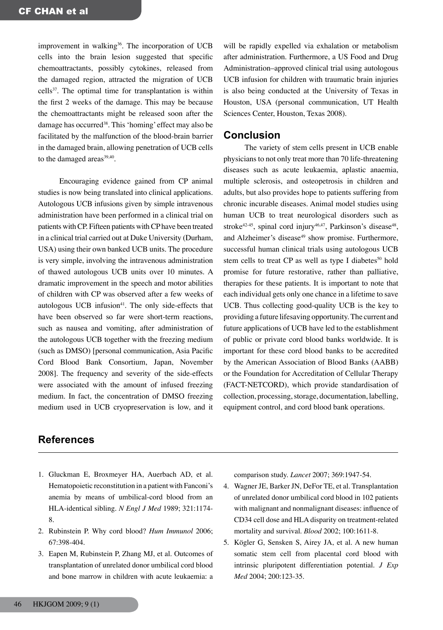improvement in walking<sup>36</sup>. The incorporation of UCB cells into the brain lesion suggested that specific chemoattractants, possibly cytokines, released from the damaged region, attracted the migration of UCB cells37. The optimal time for transplantation is within the first 2 weeks of the damage. This may be because the chemoattractants might be released soon after the damage has occurred<sup>38</sup>. This 'homing' effect may also be facilitated by the malfunction of the blood-brain barrier in the damaged brain, allowing penetration of UCB cells to the damaged areas<sup>39,40</sup>.

Encouraging evidence gained from CP animal studies is now being translated into clinical applications. Autologous UCB infusions given by simple intravenous administration have been performed in a clinical trial on patients with CP. Fifteen patients with CP have been treated in a clinical trial carried out at Duke University (Durham, USA) using their own banked UCB units. The procedure is very simple, involving the intravenous administration of thawed autologous UCB units over 10 minutes. A dramatic improvement in the speech and motor abilities of children with CP was observed after a few weeks of autologous UCB infusion $41$ . The only side-effects that have been observed so far were short-term reactions, such as nausea and vomiting, after administration of the autologous UCB together with the freezing medium (such as DMSO) [personal communication, Asia Pacific Cord Blood Bank Consortium, Japan, November 2008]. The frequency and severity of the side-effects were associated with the amount of infused freezing medium. In fact, the concentration of DMSO freezing medium used in UCB cryopreservation is low, and it will be rapidly expelled via exhalation or metabolism after administration. Furthermore, a US Food and Drug Administration–approved clinical trial using autologous UCB infusion for children with traumatic brain injuries is also being conducted at the University of Texas in Houston, USA (personal communication, UT Health Sciences Center, Houston, Texas 2008).

#### **Conclusion**

The variety of stem cells present in UCB enable physicians to not only treat more than 70 life-threatening diseases such as acute leukaemia, aplastic anaemia, multiple sclerosis, and osteopetrosis in children and adults, but also provides hope to patients suffering from chronic incurable diseases. Animal model studies using human UCB to treat neurological disorders such as stroke<sup>42-45</sup>, spinal cord injury<sup>46,47</sup>, Parkinson's disease<sup>48</sup>, and Alzheimer's disease<sup>49</sup> show promise. Furthermore, successful human clinical trials using autologous UCB stem cells to treat CP as well as type I diabetes<sup>50</sup> hold promise for future restorative, rather than palliative, therapies for these patients. It is important to note that each individual gets only one chance in a lifetime to save UCB. Thus collecting good-quality UCB is the key to providing a future lifesaving opportunity. The current and future applications of UCB have led to the establishment of public or private cord blood banks worldwide. It is important for these cord blood banks to be accredited by the American Association of Blood Banks (AABB) or the Foundation for Accreditation of Cellular Therapy (FACT-NETCORD), which provide standardisation of collection, processing, storage, documentation, labelling, equipment control, and cord blood bank operations.

## **References**

- 1. Gluckman E, Broxmeyer HA, Auerbach AD, et al. Hematopoietic reconstitution in a patient with Fanconi's anemia by means of umbilical-cord blood from an HLA-identical sibling. *N Engl J Med* 1989; 321:1174- 8.
- 2. Rubinstein P. Why cord blood? *Hum Immunol* 2006; 67:398-404.
- 3. Eapen M, Rubinstein P, Zhang MJ, et al. Outcomes of transplantation of unrelated donor umbilical cord blood and bone marrow in children with acute leukaemia: a

comparison study. *Lancet* 2007; 369:1947-54.

- 4. Wagner JE, Barker JN, DeFor TE, et al. Transplantation of unrelated donor umbilical cord blood in 102 patients with malignant and nonmalignant diseases: influence of CD34 cell dose and HLA disparity on treatment-related mortality and survival. *Blood* 2002; 100:1611-8.
- 5. Kögler G, Sensken S, Airey JA, et al. A new human somatic stem cell from placental cord blood with intrinsic pluripotent differentiation potential. *J Exp Med* 2004; 200:123-35.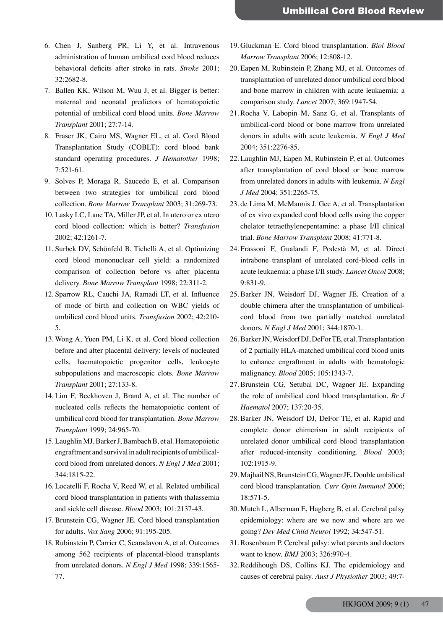- 6. Chen J, Sanberg PR, Li Y, et al. Intravenous administration of human umbilical cord blood reduces behavioral deficits after stroke in rats. *Stroke* 2001; 32:2682-8.
- 7. Ballen KK, Wilson M, Wuu J, et al. Bigger is better: maternal and neonatal predictors of hematopoietic potential of umbilical cord blood units. *Bone Marrow Transplant* 2001; 27:7-14.
- 8. Fraser JK, Cairo MS, Wagner EL, et al. Cord Blood Transplantation Study (COBLT): cord blood bank standard operating procedures. *J Hematother* 1998; 7:521-61.
- 9. Solves P, Moraga R, Saucedo E, et al. Comparison between two strategies for umbilical cord blood collection. *Bone Marrow Transplant* 2003; 31:269-73.
- 10. Lasky LC, Lane TA, Miller JP, et al. In utero or ex utero cord blood collection: which is better? *Transfusion* 2002; 42:1261-7.
- 11. Surbek DV, Schönfeld B, Tichelli A, et al. Optimizing cord blood mononuclear cell yield: a randomized comparison of collection before vs after placenta delivery. *Bone Marrow Transplant* 1998; 22:311-2.
- 12. Sparrow RL, Cauchi JA, Ramadi LT, et al. Influence of mode of birth and collection on WBC yields of umbilical cord blood units. *Transfusion* 2002; 42:210- 5.
- 13. Wong A, Yuen PM, Li K, et al. Cord blood collection before and after placental delivery: levels of nucleated cells, haematopoietic progenitor cells, leukocyte subpopulations and macroscopic clots. *Bone Marrow Transplant* 2001; 27:133-8.
- 14. Lim F, Beckhoven J, Brand A, et al. The number of nucleated cells reflects the hematopoietic content of umbilical cord blood for transplantation. *Bone Marrow Transplant* 1999; 24:965-70.
- 15. Laughlin MJ, Barker J, Bambach B, et al. Hematopoietic engraftment and survival in adult recipients of umbilicalcord blood from unrelated donors. *N Engl J Med* 2001; 344:1815-22.
- 16. Locatelli F, Rocha V, Reed W, et al. Related umbilical cord blood transplantation in patients with thalassemia and sickle cell disease. *Blood* 2003; 101:2137-43.
- 17. Brunstein CG, Wagner JE. Cord blood transplantation for adults. *Vox Sang* 2006; 91:195-205.
- 18. Rubinstein P, Carrier C, Scaradavou A, et al. Outcomes among 562 recipients of placental-blood transplants from unrelated donors. *N Engl J Med* 1998; 339:1565- 77.
- 19. Gluckman E. Cord blood transplantation. *Biol Blood Marrow Transplant* 2006; 12:808-12.
- 20. Eapen M, Rubinstein P, Zhang MJ, et al. Outcomes of transplantation of unrelated donor umbilical cord blood and bone marrow in children with acute leukaemia: a comparison study. *Lancet* 2007; 369:1947-54.
- 21. Rocha V, Labopin M, Sanz G, et al. Transplants of umbilical-cord blood or bone marrow from unrelated donors in adults with acute leukemia. *N Engl J Med* 2004; 351:2276-85.
- 22. Laughlin MJ, Eapen M, Rubinstein P, et al. Outcomes after transplantation of cord blood or bone marrow from unrelated donors in adults with leukemia. *N Engl J Med* 2004; 351:2265-75.
- 23. de Lima M, McMannis J, Gee A, et al. Transplantation of ex vivo expanded cord blood cells using the copper chelator tetraethylenepentamine: a phase I/II clinical trial. *Bone Marrow Transplant* 2008; 41:771-8.
- 24. Frassoni F, Gualandi F, Podestà M, et al. Direct intrabone transplant of unrelated cord-blood cells in acute leukaemia: a phase I/II study. *Lancet Oncol* 2008; 9:831-9.
- 25. Barker JN, Weisdorf DJ, Wagner JE. Creation of a double chimera after the transplantation of umbilicalcord blood from two partially matched unrelated donors. *N Engl J Med* 2001; 344:1870-1.
- 26. Barker JN, Weisdorf DJ, DeFor TE, et al. Transplantation of 2 partially HLA-matched umbilical cord blood units to enhance engraftment in adults with hematologic malignancy. *Blood* 2005; 105:1343-7.
- 27. Brunstein CG, Setubal DC, Wagner JE. Expanding the role of umbilical cord blood transplantation. *Br J Haematol* 2007; 137:20-35.
- 28. Barker JN, Weisdorf DJ, DeFor TE, et al. Rapid and complete donor chimerism in adult recipients of unrelated donor umbilical cord blood transplantation after reduced-intensity conditioning. *Blood* 2003; 102:1915-9.
- 29. Majhail NS, Brunstein CG, Wagner JE. Double umbilical cord blood transplantation. *Curr Opin Immunol* 2006; 18:571-5.
- 30. Mutch L, Alberman E, Hagberg B, et al. Cerebral palsy epidemiology: where are we now and where are we going? *Dev Med Child Neurol* 1992; 34:547-51.
- 31. Rosenbaum P. Cerebral palsy: what parents and doctors want to know. *BMJ* 2003; 326:970-4.
- 32. Reddihough DS, Collins KJ. The epidemiology and causes of cerebral palsy. *Aust J Physiother* 2003; 49:7-